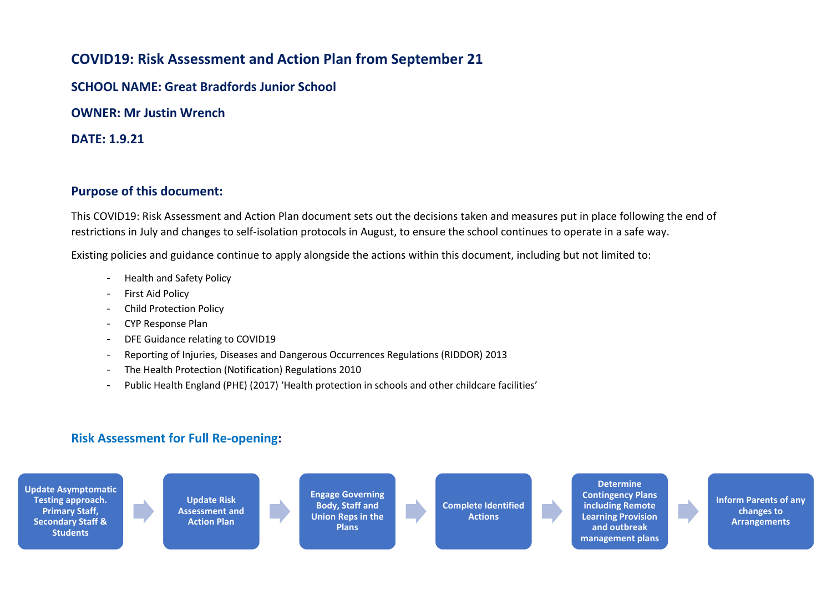## **COVID19: Risk Assessment and Action Plan from September 21**

**SCHOOL NAME: Great Bradfords Junior School** 

**OWNER: Mr Justin Wrench** 

**DATE: 1.9.21**

## **Purpose of this document:**

This COVID19: Risk Assessment and Action Plan document sets out the decisions taken and measures put in place following the end of restrictions in July and changes to self-isolation protocols in August, to ensure the school continues to operate in a safe way.

Existing policies and guidance continue to apply alongside the actions within this document, including but not limited to:

- Health and Safety Policy
- First Aid Policy
- Child Protection Policy
- CYP Response Plan
- DFE Guidance relating to COVID19
- Reporting of Injuries, Diseases and Dangerous Occurrences Regulations (RIDDOR) 2013
- The Health Protection (Notification) Regulations 2010
- Public Health England (PHE) (2017) 'Health protection in schools and other childcare facilities'

## **Risk Assessment for Full Re-opening:**



**Determine Contingency Plans including Remote Learning Provision and outbreak management plans**

**Inform Parents of any changes to Arrangements**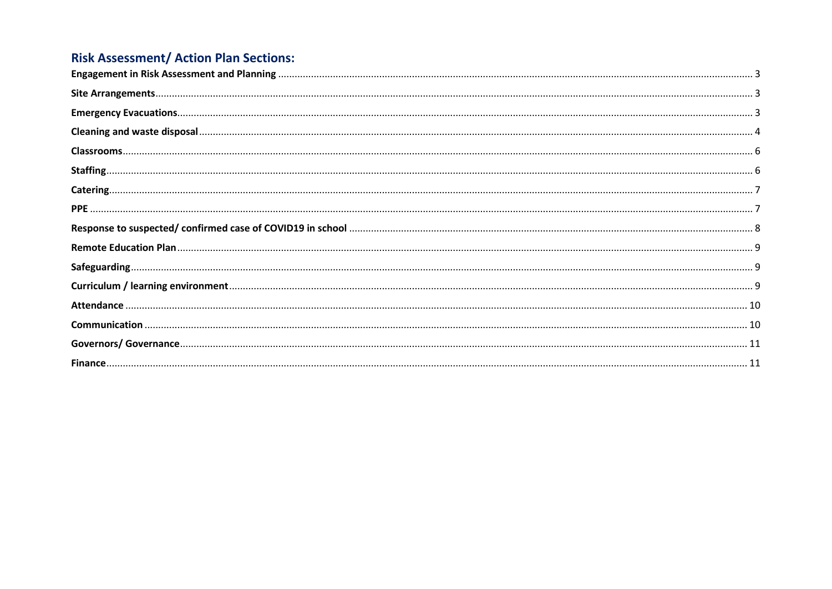## **Risk Assessment/ Action Plan Sections:**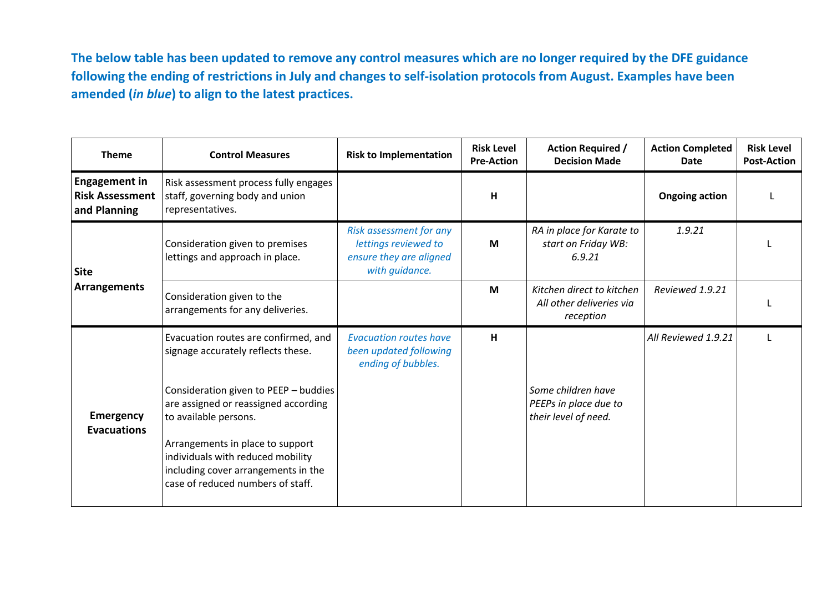**The below table has been updated to remove any control measures which are no longer required by the DFE guidance following the ending of restrictions in July and changes to self-isolation protocols from August. Examples have been amended (***in blue***) to align to the latest practices.**

<span id="page-2-2"></span><span id="page-2-1"></span><span id="page-2-0"></span>

| <b>Theme</b>                                                   | <b>Control Measures</b>                                                                                                                           | <b>Risk to Implementation</b>                                                                | <b>Risk Level</b><br><b>Pre-Action</b> | <b>Action Required /</b><br><b>Decision Made</b>                    | <b>Action Completed</b><br>Date | <b>Risk Level</b><br><b>Post-Action</b> |
|----------------------------------------------------------------|---------------------------------------------------------------------------------------------------------------------------------------------------|----------------------------------------------------------------------------------------------|----------------------------------------|---------------------------------------------------------------------|---------------------------------|-----------------------------------------|
| <b>Engagement in</b><br><b>Risk Assessment</b><br>and Planning | Risk assessment process fully engages<br>staff, governing body and union<br>representatives.                                                      |                                                                                              | H                                      |                                                                     | <b>Ongoing action</b>           |                                         |
| <b>Site</b>                                                    | Consideration given to premises<br>lettings and approach in place.                                                                                | Risk assessment for any<br>lettings reviewed to<br>ensure they are aligned<br>with guidance. | M                                      | RA in place for Karate to<br>start on Friday WB:<br>6.9.21          | 1.9.21                          |                                         |
| <b>Arrangements</b>                                            | Consideration given to the<br>arrangements for any deliveries.                                                                                    |                                                                                              | M                                      | Kitchen direct to kitchen<br>All other deliveries via<br>reception  | Reviewed 1.9.21                 |                                         |
|                                                                | Evacuation routes are confirmed, and<br>signage accurately reflects these.                                                                        | <b>Evacuation routes have</b><br>been updated following<br>ending of bubbles.                | H                                      |                                                                     | All Reviewed 1.9.21             |                                         |
| <b>Emergency</b><br><b>Evacuations</b>                         | Consideration given to PEEP - buddies<br>are assigned or reassigned according<br>to available persons.                                            |                                                                                              |                                        | Some children have<br>PEEPs in place due to<br>their level of need. |                                 |                                         |
|                                                                | Arrangements in place to support<br>individuals with reduced mobility<br>including cover arrangements in the<br>case of reduced numbers of staff. |                                                                                              |                                        |                                                                     |                                 |                                         |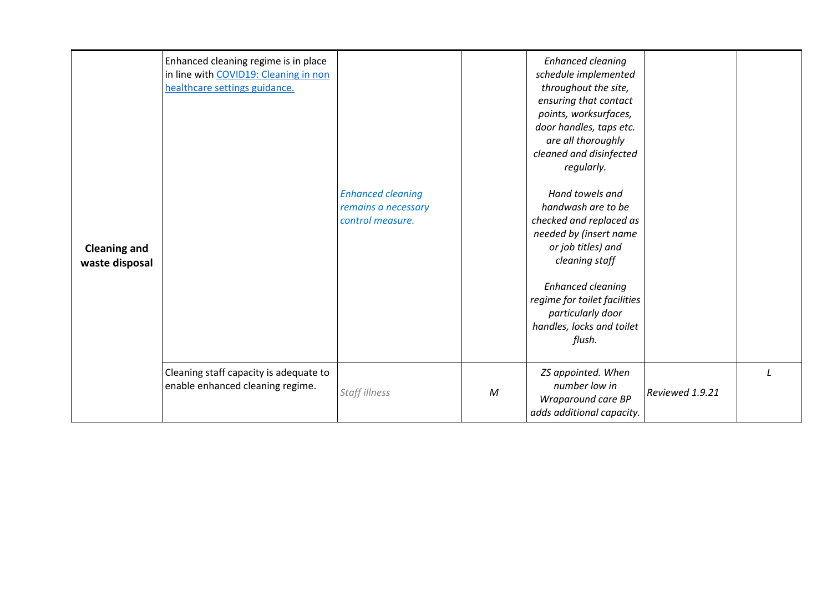<span id="page-3-0"></span>

| <b>Cleaning and</b><br>waste disposal | Enhanced cleaning regime is in place<br>in line with COVID19: Cleaning in non<br>healthcare settings guidance. | <b>Enhanced cleaning</b><br>remains a necessary<br>control measure. |              | <b>Enhanced cleaning</b><br>schedule implemented<br>throughout the site,<br>ensuring that contact<br>points, worksurfaces,<br>door handles, taps etc.<br>are all thoroughly<br>cleaned and disinfected<br>regularly.<br>Hand towels and<br>handwash are to be<br>checked and replaced as<br>needed by (insert name<br>or job titles) and<br>cleaning staff<br><b>Enhanced cleaning</b><br>regime for toilet facilities<br>particularly door<br>handles, locks and toilet<br>flush. |                 |  |
|---------------------------------------|----------------------------------------------------------------------------------------------------------------|---------------------------------------------------------------------|--------------|------------------------------------------------------------------------------------------------------------------------------------------------------------------------------------------------------------------------------------------------------------------------------------------------------------------------------------------------------------------------------------------------------------------------------------------------------------------------------------|-----------------|--|
|                                       | Cleaning staff capacity is adequate to<br>enable enhanced cleaning regime.                                     | Staff illness                                                       | $\mathcal M$ | ZS appointed. When<br>number low in<br>Wraparound care BP<br>adds additional capacity.                                                                                                                                                                                                                                                                                                                                                                                             | Reviewed 1.9.21 |  |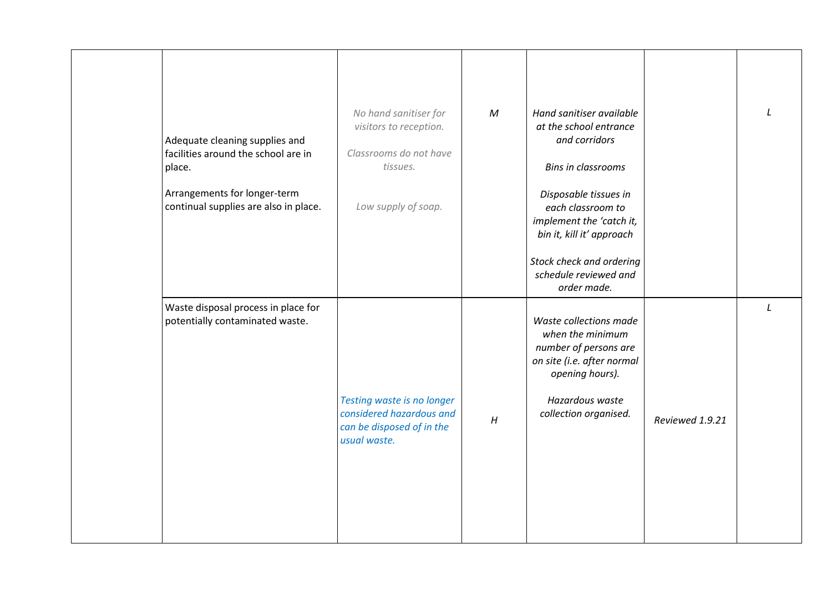| Adequate cleaning supplies and<br>facilities around the school are in<br>place.<br>Arrangements for longer-term<br>continual supplies are also in place. | No hand sanitiser for<br>visitors to reception.<br>Classrooms do not have<br>tissues.<br>Low supply of soap. | $\mathcal M$ | Hand sanitiser available<br>at the school entrance<br>and corridors<br><b>Bins in classrooms</b><br>Disposable tissues in<br>each classroom to<br>implement the 'catch it,<br>bin it, kill it' approach<br>Stock check and ordering<br>schedule reviewed and<br>order made. |                 |               |
|----------------------------------------------------------------------------------------------------------------------------------------------------------|--------------------------------------------------------------------------------------------------------------|--------------|-----------------------------------------------------------------------------------------------------------------------------------------------------------------------------------------------------------------------------------------------------------------------------|-----------------|---------------|
| Waste disposal process in place for<br>potentially contaminated waste.                                                                                   | Testing waste is no longer<br>considered hazardous and<br>can be disposed of in the<br>usual waste.          | H            | Waste collections made<br>when the minimum<br>number of persons are<br>on site (i.e. after normal<br>opening hours).<br>Hazardous waste<br>collection organised.                                                                                                            | Reviewed 1.9.21 | $\mathcal{L}$ |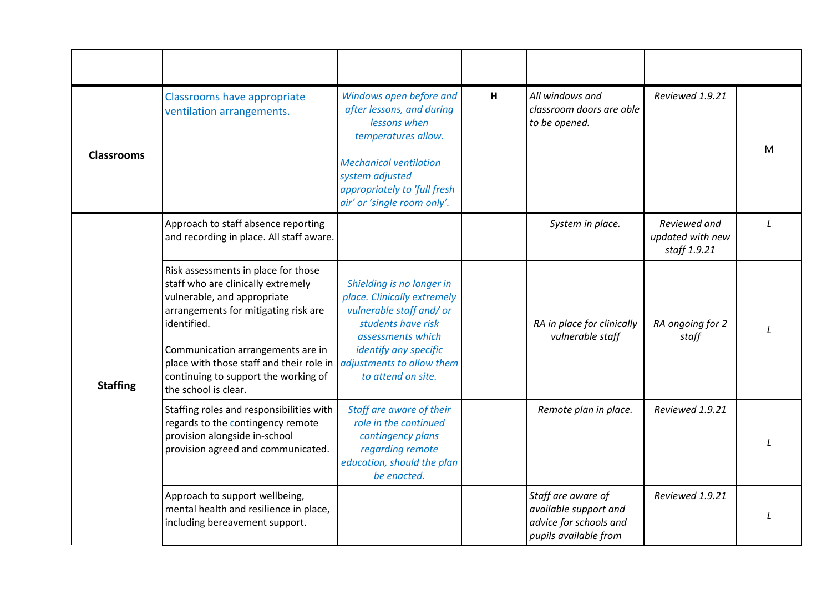<span id="page-5-1"></span><span id="page-5-0"></span>

| <b>Classrooms</b> | Classrooms have appropriate<br>ventilation arrangements.                                                                                                                                                                                                                                                         | Windows open before and<br>after lessons, and during<br>lessons when<br>temperatures allow.<br><b>Mechanical ventilation</b><br>system adjusted<br>appropriately to 'full fresh<br>air' or 'single room only'. | H | All windows and<br>classroom doors are able<br>to be opened.                                   | Reviewed 1.9.21                                  | м |
|-------------------|------------------------------------------------------------------------------------------------------------------------------------------------------------------------------------------------------------------------------------------------------------------------------------------------------------------|----------------------------------------------------------------------------------------------------------------------------------------------------------------------------------------------------------------|---|------------------------------------------------------------------------------------------------|--------------------------------------------------|---|
|                   | Approach to staff absence reporting<br>and recording in place. All staff aware.                                                                                                                                                                                                                                  |                                                                                                                                                                                                                |   | System in place.                                                                               | Reviewed and<br>updated with new<br>staff 1.9.21 |   |
| <b>Staffing</b>   | Risk assessments in place for those<br>staff who are clinically extremely<br>vulnerable, and appropriate<br>arrangements for mitigating risk are<br>identified.<br>Communication arrangements are in<br>place with those staff and their role in<br>continuing to support the working of<br>the school is clear. | Shielding is no longer in<br>place. Clinically extremely<br>vulnerable staff and/or<br>students have risk<br>assessments which<br>identify any specific<br>adjustments to allow them<br>to attend on site.     |   | RA in place for clinically<br>vulnerable staff                                                 | RA ongoing for 2<br>staff                        |   |
|                   | Staffing roles and responsibilities with<br>regards to the contingency remote<br>provision alongside in-school<br>provision agreed and communicated.                                                                                                                                                             | Staff are aware of their<br>role in the continued<br>contingency plans<br>regarding remote<br>education, should the plan<br>be enacted.                                                                        |   | Remote plan in place.                                                                          | Reviewed 1.9.21                                  |   |
|                   | Approach to support wellbeing,<br>mental health and resilience in place,<br>including bereavement support.                                                                                                                                                                                                       |                                                                                                                                                                                                                |   | Staff are aware of<br>available support and<br>advice for schools and<br>pupils available from | Reviewed 1.9.21                                  |   |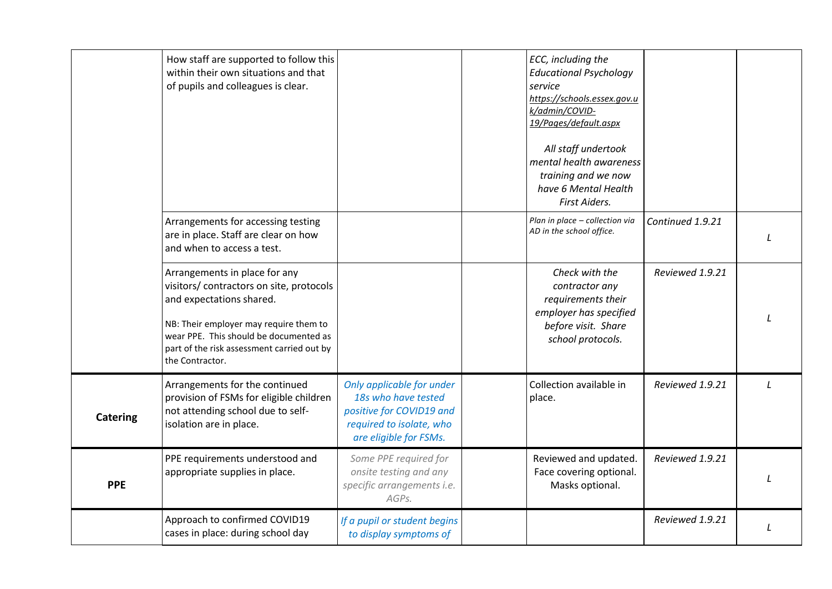<span id="page-6-1"></span><span id="page-6-0"></span>

|                 | How staff are supported to follow this<br>within their own situations and that<br>of pupils and colleagues is clear.                                                                                                                                       |                                                                                                                                    | ECC, including the<br><b>Educational Psychology</b><br>service<br>https://schools.essex.gov.u<br>k/admin/COVID-<br>19/Pages/default.aspx<br>All staff undertook<br>mental health awareness<br>training and we now<br>have 6 Mental Health<br>First Aiders. |                  |  |
|-----------------|------------------------------------------------------------------------------------------------------------------------------------------------------------------------------------------------------------------------------------------------------------|------------------------------------------------------------------------------------------------------------------------------------|------------------------------------------------------------------------------------------------------------------------------------------------------------------------------------------------------------------------------------------------------------|------------------|--|
|                 | Arrangements for accessing testing<br>are in place. Staff are clear on how<br>and when to access a test.                                                                                                                                                   |                                                                                                                                    | Plan in place - collection via<br>AD in the school office.                                                                                                                                                                                                 | Continued 1.9.21 |  |
|                 | Arrangements in place for any<br>visitors/ contractors on site, protocols<br>and expectations shared.<br>NB: Their employer may require them to<br>wear PPE. This should be documented as<br>part of the risk assessment carried out by<br>the Contractor. |                                                                                                                                    | Check with the<br>contractor any<br>requirements their<br>employer has specified<br>before visit. Share<br>school protocols.                                                                                                                               | Reviewed 1.9.21  |  |
| <b>Catering</b> | Arrangements for the continued<br>provision of FSMs for eligible children<br>not attending school due to self-<br>isolation are in place.                                                                                                                  | Only applicable for under<br>18s who have tested<br>positive for COVID19 and<br>required to isolate, who<br>are eligible for FSMs. | Collection available in<br>place.                                                                                                                                                                                                                          | Reviewed 1.9.21  |  |
| <b>PPE</b>      | PPE requirements understood and<br>appropriate supplies in place.                                                                                                                                                                                          | Some PPE required for<br>onsite testing and any<br>specific arrangements i.e.<br>AGPs.                                             | Reviewed and updated.<br>Face covering optional.<br>Masks optional.                                                                                                                                                                                        | Reviewed 1.9.21  |  |
|                 | Approach to confirmed COVID19<br>cases in place: during school day                                                                                                                                                                                         | If a pupil or student begins<br>to display symptoms of                                                                             |                                                                                                                                                                                                                                                            | Reviewed 1.9.21  |  |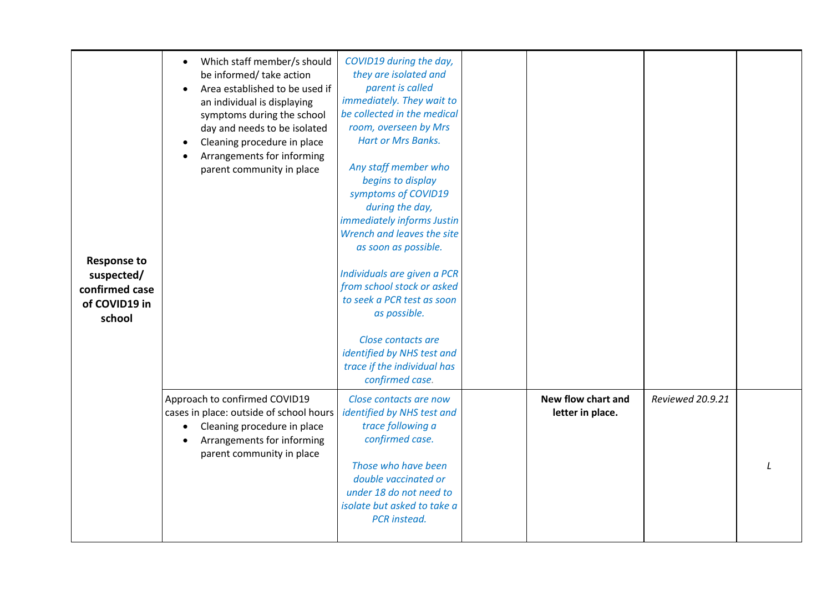<span id="page-7-0"></span>

| <b>Response to</b><br>suspected/<br>confirmed case<br>of COVID19 in<br>school | Which staff member/s should<br>$\bullet$<br>be informed/ take action<br>Area established to be used if<br>an individual is displaying<br>symptoms during the school<br>day and needs to be isolated<br>Cleaning procedure in place<br>$\bullet$<br>Arrangements for informing<br>parent community in place | COVID19 during the day,<br>they are isolated and<br>parent is called<br>immediately. They wait to<br>be collected in the medical<br>room, overseen by Mrs<br><b>Hart or Mrs Banks.</b><br>Any staff member who<br>begins to display<br>symptoms of COVID19<br>during the day,<br>immediately informs Justin<br>Wrench and leaves the site<br>as soon as possible.<br>Individuals are given a PCR<br>from school stock or asked<br>to seek a PCR test as soon<br>as possible.<br>Close contacts are<br>identified by NHS test and<br>trace if the individual has<br>confirmed case. |                                        |                  |  |
|-------------------------------------------------------------------------------|------------------------------------------------------------------------------------------------------------------------------------------------------------------------------------------------------------------------------------------------------------------------------------------------------------|------------------------------------------------------------------------------------------------------------------------------------------------------------------------------------------------------------------------------------------------------------------------------------------------------------------------------------------------------------------------------------------------------------------------------------------------------------------------------------------------------------------------------------------------------------------------------------|----------------------------------------|------------------|--|
|                                                                               | Approach to confirmed COVID19<br>cases in place: outside of school hours<br>Cleaning procedure in place<br>$\bullet$<br>Arrangements for informing<br>parent community in place                                                                                                                            | Close contacts are now<br>identified by NHS test and<br>trace following a<br>confirmed case.<br>Those who have been<br>double vaccinated or<br>under 18 do not need to<br>isolate but asked to take a<br><b>PCR</b> instead.                                                                                                                                                                                                                                                                                                                                                       | New flow chart and<br>letter in place. | Reviewed 20.9.21 |  |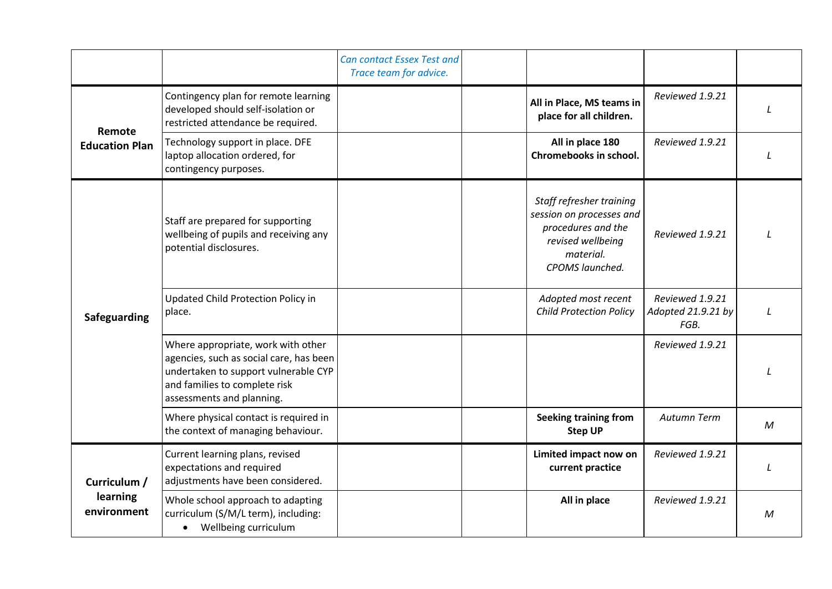<span id="page-8-2"></span><span id="page-8-1"></span><span id="page-8-0"></span>

|                         |                                                                                                                                                                                     | Can contact Essex Test and<br>Trace team for advice. |                                                                                                                                 |                                               |               |
|-------------------------|-------------------------------------------------------------------------------------------------------------------------------------------------------------------------------------|------------------------------------------------------|---------------------------------------------------------------------------------------------------------------------------------|-----------------------------------------------|---------------|
| Remote                  | Contingency plan for remote learning<br>developed should self-isolation or<br>restricted attendance be required.                                                                    |                                                      | All in Place, MS teams in<br>place for all children.                                                                            | Reviewed 1.9.21                               |               |
| <b>Education Plan</b>   | Technology support in place. DFE<br>laptop allocation ordered, for<br>contingency purposes.                                                                                         |                                                      | All in place 180<br>Chromebooks in school.                                                                                      | Reviewed 1.9.21                               | $\mathcal{L}$ |
|                         | Staff are prepared for supporting<br>wellbeing of pupils and receiving any<br>potential disclosures.                                                                                |                                                      | Staff refresher training<br>session on processes and<br>procedures and the<br>revised wellbeing<br>material.<br>CPOMS launched. | Reviewed 1.9.21                               | $\perp$       |
| <b>Safeguarding</b>     | Updated Child Protection Policy in<br>place.                                                                                                                                        |                                                      | Adopted most recent<br><b>Child Protection Policy</b>                                                                           | Reviewed 1.9.21<br>Adopted 21.9.21 by<br>FGB. | L             |
|                         | Where appropriate, work with other<br>agencies, such as social care, has been<br>undertaken to support vulnerable CYP<br>and families to complete risk<br>assessments and planning. |                                                      |                                                                                                                                 | Reviewed 1.9.21                               |               |
|                         | Where physical contact is required in<br>the context of managing behaviour.                                                                                                         |                                                      | <b>Seeking training from</b><br><b>Step UP</b>                                                                                  | Autumn Term                                   | $\mathcal M$  |
| Curriculum /            | Current learning plans, revised<br>expectations and required<br>adjustments have been considered.                                                                                   |                                                      | Limited impact now on<br>current practice                                                                                       | Reviewed 1.9.21                               |               |
| learning<br>environment | Whole school approach to adapting<br>curriculum (S/M/L term), including:<br>Wellbeing curriculum<br>$\bullet$                                                                       |                                                      | All in place                                                                                                                    | Reviewed 1.9.21                               | M             |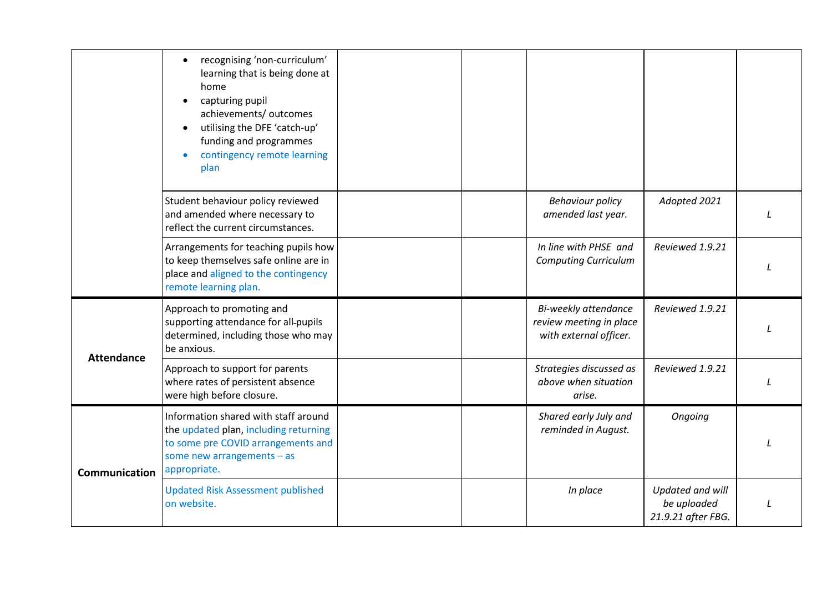<span id="page-9-1"></span><span id="page-9-0"></span>

|                   | recognising 'non-curriculum'<br>learning that is being done at<br>home<br>capturing pupil<br>achievements/ outcomes<br>utilising the DFE 'catch-up'<br>funding and programmes<br>contingency remote learning<br>plan |  |                                                                           |                                                       |  |
|-------------------|----------------------------------------------------------------------------------------------------------------------------------------------------------------------------------------------------------------------|--|---------------------------------------------------------------------------|-------------------------------------------------------|--|
|                   | Student behaviour policy reviewed<br>and amended where necessary to<br>reflect the current circumstances.                                                                                                            |  | <b>Behaviour policy</b><br>amended last year.                             | Adopted 2021                                          |  |
|                   | Arrangements for teaching pupils how<br>to keep themselves safe online are in<br>place and aligned to the contingency<br>remote learning plan.                                                                       |  | In line with PHSE and<br><b>Computing Curriculum</b>                      | Reviewed 1.9.21                                       |  |
| <b>Attendance</b> | Approach to promoting and<br>supporting attendance for all-pupils<br>determined, including those who may<br>be anxious.                                                                                              |  | Bi-weekly attendance<br>review meeting in place<br>with external officer. | Reviewed 1.9.21                                       |  |
|                   | Approach to support for parents<br>where rates of persistent absence<br>were high before closure.                                                                                                                    |  | Strategies discussed as<br>above when situation<br>arise.                 | Reviewed 1.9.21                                       |  |
| Communication     | Information shared with staff around<br>the updated plan, including returning<br>to some pre COVID arrangements and<br>some new arrangements $-$ as<br>appropriate.                                                  |  | Shared early July and<br>reminded in August.                              | Ongoing                                               |  |
|                   | <b>Updated Risk Assessment published</b><br>on website.                                                                                                                                                              |  | In place                                                                  | Updated and will<br>be uploaded<br>21.9.21 after FBG. |  |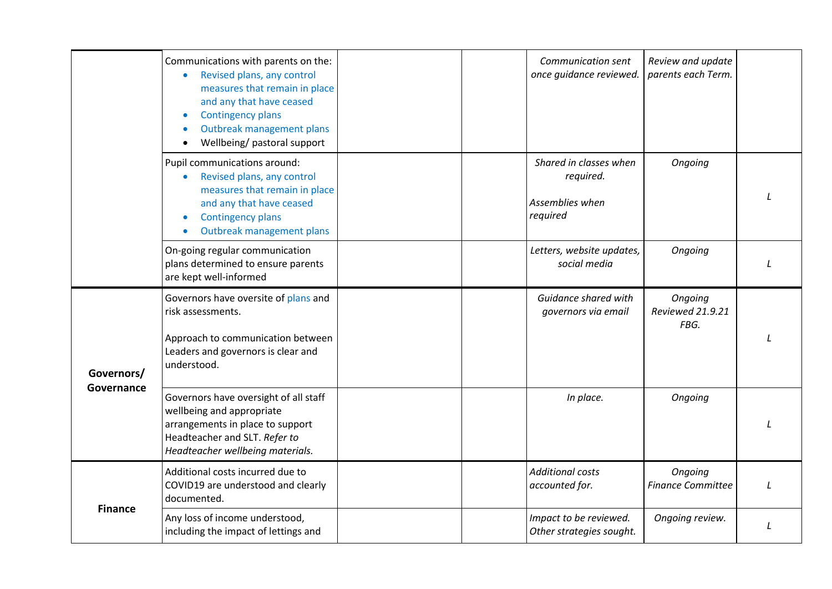<span id="page-10-1"></span><span id="page-10-0"></span>

|                | Communications with parents on the:<br>Revised plans, any control<br>$\bullet$<br>measures that remain in place<br>and any that have ceased<br><b>Contingency plans</b><br>$\bullet$<br>Outbreak management plans<br>$\bullet$<br>Wellbeing/ pastoral support |          | Communication sent<br>once guidance reviewed.          | Review and update<br>parents each Term. |  |
|----------------|---------------------------------------------------------------------------------------------------------------------------------------------------------------------------------------------------------------------------------------------------------------|----------|--------------------------------------------------------|-----------------------------------------|--|
|                | Pupil communications around:<br>Revised plans, any control<br>$\bullet$<br>measures that remain in place<br>and any that have ceased<br><b>Contingency plans</b><br>Outbreak management plans<br>$\bullet$                                                    | required | Shared in classes when<br>required.<br>Assemblies when | Ongoing                                 |  |
|                | On-going regular communication<br>plans determined to ensure parents<br>are kept well-informed                                                                                                                                                                |          | Letters, website updates,<br>social media              | Ongoing                                 |  |
| Governors/     | Governors have oversite of plans and<br>risk assessments.<br>Approach to communication between<br>Leaders and governors is clear and<br>understood.                                                                                                           |          | Guidance shared with<br>governors via email            | Ongoing<br>Reviewed 21.9.21<br>FBG.     |  |
| Governance     | Governors have oversight of all staff<br>wellbeing and appropriate<br>arrangements in place to support<br>Headteacher and SLT. Refer to<br>Headteacher wellbeing materials.                                                                                   |          | In place.                                              | Ongoing                                 |  |
|                | Additional costs incurred due to<br>COVID19 are understood and clearly<br>documented.                                                                                                                                                                         |          | <b>Additional costs</b><br>accounted for.              | Ongoing<br><b>Finance Committee</b>     |  |
| <b>Finance</b> | Any loss of income understood,<br>including the impact of lettings and                                                                                                                                                                                        |          | Impact to be reviewed.<br>Other strategies sought.     | Ongoing review.                         |  |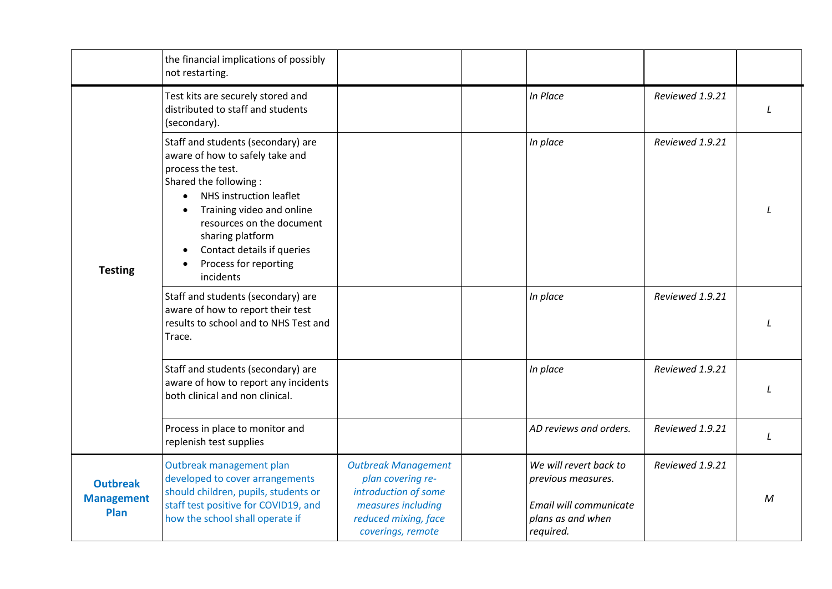|                                              | the financial implications of possibly<br>not restarting.                                                                                                                                                                                                                                        |                                                                                                                                            |                                                                                                          |                 |              |
|----------------------------------------------|--------------------------------------------------------------------------------------------------------------------------------------------------------------------------------------------------------------------------------------------------------------------------------------------------|--------------------------------------------------------------------------------------------------------------------------------------------|----------------------------------------------------------------------------------------------------------|-----------------|--------------|
|                                              | Test kits are securely stored and<br>distributed to staff and students<br>(secondary).                                                                                                                                                                                                           |                                                                                                                                            | In Place                                                                                                 | Reviewed 1.9.21 |              |
| <b>Testing</b>                               | Staff and students (secondary) are<br>aware of how to safely take and<br>process the test.<br>Shared the following:<br>NHS instruction leaflet<br>Training video and online<br>resources on the document<br>sharing platform<br>Contact details if queries<br>Process for reporting<br>incidents |                                                                                                                                            | In place                                                                                                 | Reviewed 1.9.21 |              |
|                                              | Staff and students (secondary) are<br>aware of how to report their test<br>results to school and to NHS Test and<br>Trace.                                                                                                                                                                       |                                                                                                                                            | In place                                                                                                 | Reviewed 1.9.21 |              |
|                                              | Staff and students (secondary) are<br>aware of how to report any incidents<br>both clinical and non clinical.                                                                                                                                                                                    |                                                                                                                                            | In place                                                                                                 | Reviewed 1.9.21 |              |
|                                              | Process in place to monitor and<br>replenish test supplies                                                                                                                                                                                                                                       |                                                                                                                                            | AD reviews and orders.                                                                                   | Reviewed 1.9.21 | L            |
| <b>Outbreak</b><br><b>Management</b><br>Plan | Outbreak management plan<br>developed to cover arrangements<br>should children, pupils, students or<br>staff test positive for COVID19, and<br>how the school shall operate if                                                                                                                   | <b>Outbreak Management</b><br>plan covering re-<br>introduction of some<br>measures including<br>reduced mixing, face<br>coverings, remote | We will revert back to<br>previous measures.<br>Email will communicate<br>plans as and when<br>required. | Reviewed 1.9.21 | $\mathcal M$ |